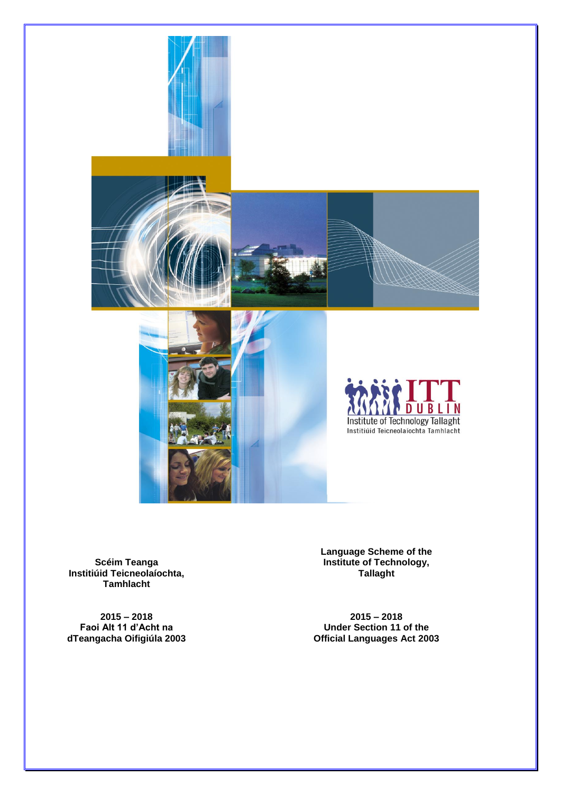

**Scéim Teanga Institiúid Teicneolaíochta, Tamhlacht**

**2015 – 2018 Faoi Alt 11 d'Acht na dTeangacha Oifigiúla 2003** **Language Scheme of the Institute of Technology, Tallaght** 

**2015 – 2018 Under Section 11 of the Official Languages Act 2003**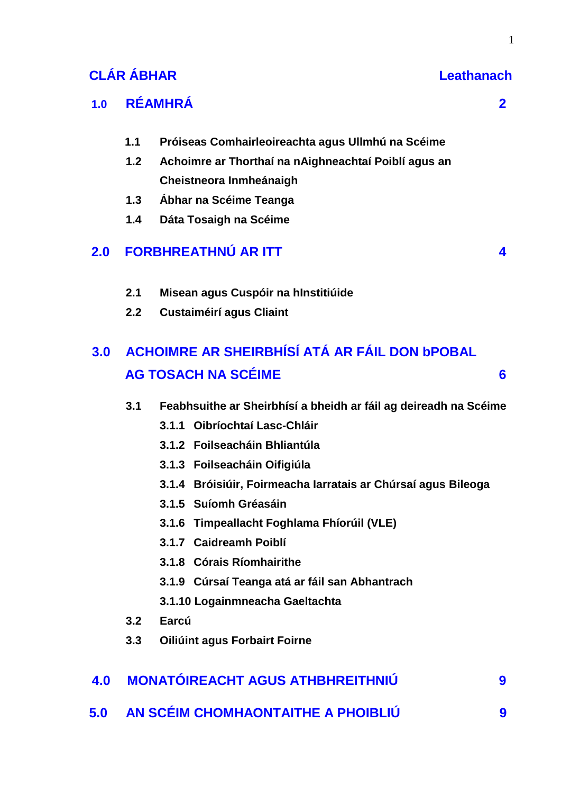# **CLÁR ÁBHAR Leathanach**

# **1.0 RÉAMHRÁ 2**

- **1.1 Próiseas Comhairleoireachta agus Ullmhú na Scéime**
- **1.2 Achoimre ar Thorthaí na nAighneachtaí Poiblí agus an Cheistneora Inmheánaigh**
- **1.3 Ábhar na Scéime Teanga**
- **1.4 Dáta Tosaigh na Scéime**

# **2.0 FORBHREATHNÚ AR ITT 4**

- **2.1 Misean agus Cuspóir na hInstitiúide**
- **2.2 Custaiméirí agus Cliaint**

# **3.0 ACHOIMRE AR SHEIRBHÍSÍ ATÁ AR FÁIL DON bPOBAL AG TOSACH NA SCÉIME 66 DEALE AGUS DEALE CONTRACTO A CONTRACTO CONTRACTO CONTRACTO A CONTRACTO CONTRACTO CONTRACTO CONTRACTO CONTRACTO CONTRACTO CONTRACTO CONTRACTO CONTRACTO CONTRACTO CONTRACTO CONTRACTO CONTRACTO CONTRAC**

- **3.1 Feabhsuithe ar Sheirbhísí a bheidh ar fáil ag deireadh na Scéime**
	- **3.1.1 Oibríochtaí Lasc-Chláir**
	- **3.1.2 Foilseacháin Bhliantúla**
	- **3.1.3 Foilseacháin Oifigiúla**
	- **3.1.4 Bróisiúir, Foirmeacha Iarratais ar Chúrsaí agus Bileoga**
	- **3.1.5 Suíomh Gréasáin**
	- **3.1.6 Timpeallacht Foghlama Fhíorúil (VLE)**
	- **3.1.7 Caidreamh Poiblí**
	- **3.1.8 Córais Ríomhairithe**
	- **3.1.9 Cúrsaí Teanga atá ar fáil san Abhantrach**
	- **3.1.10 Logainmneacha Gaeltachta**
- **3.2 Earcú**
- **3.3 Oiliúint agus Forbairt Foirne**

| 4.0 MONATÓIREACHT AGUS ATHBHREITHNIÚ   |  |
|----------------------------------------|--|
| 5.0 AN SCÉIM CHOMHAONTAITHE A PHOIBLIÚ |  |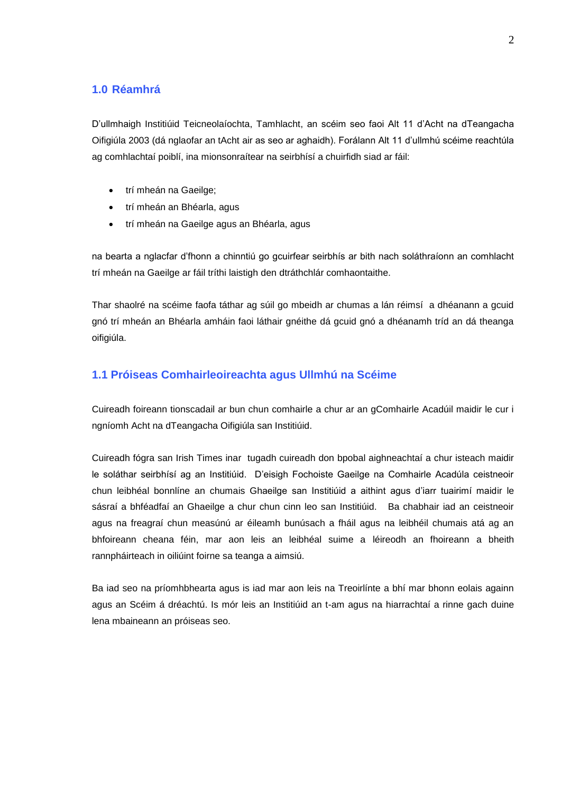# **1.0 Réamhrá**

D'ullmhaigh Institiúid Teicneolaíochta, Tamhlacht, an scéim seo faoi Alt 11 d'Acht na dTeangacha Oifigiúla 2003 (dá nglaofar an tAcht air as seo ar aghaidh). Forálann Alt 11 d'ullmhú scéime reachtúla ag comhlachtaí poiblí, ina mionsonraítear na seirbhísí a chuirfidh siad ar fáil:

- trí mheán na Gaeilge;
- trí mheán an Bhéarla, agus
- trí mheán na Gaeilge agus an Bhéarla, agus

na bearta a nglacfar d'fhonn a chinntiú go gcuirfear seirbhís ar bith nach soláthraíonn an comhlacht trí mheán na Gaeilge ar fáil tríthi laistigh den dtráthchlár comhaontaithe.

Thar shaolré na scéime faofa táthar ag súil go mbeidh ar chumas a lán réimsí a dhéanann a gcuid gnó trí mheán an Bhéarla amháin faoi láthair gnéithe dá gcuid gnó a dhéanamh tríd an dá theanga oifigiúla.

### **1.1 Próiseas Comhairleoireachta agus Ullmhú na Scéime**

Cuireadh foireann tionscadail ar bun chun comhairle a chur ar an gComhairle Acadúil maidir le cur i ngníomh Acht na dTeangacha Oifigiúla san Institiúid.

Cuireadh fógra san Irish Times inar tugadh cuireadh don bpobal aighneachtaí a chur isteach maidir le soláthar seirbhísí ag an Institiúid. D'eisigh Fochoiste Gaeilge na Comhairle Acadúla ceistneoir chun leibhéal bonnlíne an chumais Ghaeilge san Institiúid a aithint agus d'iarr tuairimí maidir le sásraí a bhféadfaí an Ghaeilge a chur chun cinn leo san Institiúid. Ba chabhair iad an ceistneoir agus na freagraí chun measúnú ar éileamh bunúsach a fháil agus na leibhéil chumais atá ag an bhfoireann cheana féin, mar aon leis an leibhéal suime a léireodh an fhoireann a bheith rannpháirteach in oiliúint foirne sa teanga a aimsiú.

Ba iad seo na príomhbhearta agus is iad mar aon leis na Treoirlínte a bhí mar bhonn eolais againn agus an Scéim á dréachtú. Is mór leis an Institiúid an t-am agus na hiarrachtaí a rinne gach duine lena mbaineann an próiseas seo.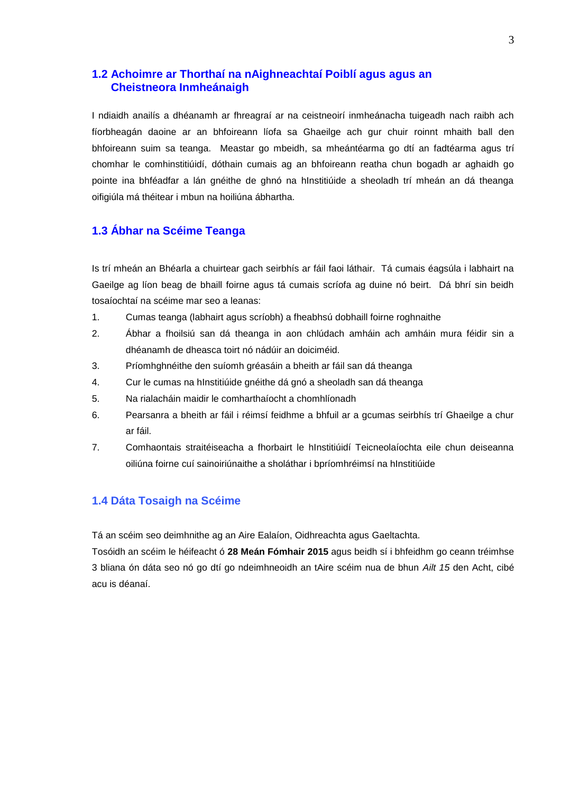### **1.2 Achoimre ar Thorthaí na nAighneachtaí Poiblí agus agus an Cheistneora Inmheánaigh**

I ndiaidh anailís a dhéanamh ar fhreagraí ar na ceistneoirí inmheánacha tuigeadh nach raibh ach fíorbheagán daoine ar an bhfoireann líofa sa Ghaeilge ach gur chuir roinnt mhaith ball den bhfoireann suim sa teanga. Meastar go mbeidh, sa mheántéarma go dtí an fadtéarma agus trí chomhar le comhinstitiúidí, dóthain cumais ag an bhfoireann reatha chun bogadh ar aghaidh go pointe ina bhféadfar a lán gnéithe de ghnó na hInstitiúide a sheoladh trí mheán an dá theanga oifigiúla má théitear i mbun na hoiliúna ábhartha.

# **1.3 Ábhar na Scéime Teanga**

Is trí mheán an Bhéarla a chuirtear gach seirbhís ar fáil faoi láthair. Tá cumais éagsúla i labhairt na Gaeilge ag líon beag de bhaill foirne agus tá cumais scríofa ag duine nó beirt. Dá bhrí sin beidh tosaíochtaí na scéime mar seo a leanas:

- 1. Cumas teanga (labhairt agus scríobh) a fheabhsú dobhaill foirne roghnaithe
- 2. Ábhar a fhoilsiú san dá theanga in aon chlúdach amháin ach amháin mura féidir sin a dhéanamh de dheasca toirt nó nádúir an doiciméid.
- 3. Príomhghnéithe den suíomh gréasáin a bheith ar fáil san dá theanga
- 4. Cur le cumas na hInstitiúide gnéithe dá gnó a sheoladh san dá theanga
- 5. Na rialacháin maidir le comharthaíocht a chomhlíonadh
- 6. Pearsanra a bheith ar fáil i réimsí feidhme a bhfuil ar a gcumas seirbhís trí Ghaeilge a chur ar fáil.
- 7. Comhaontais straitéiseacha a fhorbairt le hInstitiúidí Teicneolaíochta eile chun deiseanna oiliúna foirne cuí sainoiriúnaithe a sholáthar i bpríomhréimsí na hInstitiúide

### **1.4 Dáta Tosaigh na Scéime**

Tá an scéim seo deimhnithe ag an Aire Ealaíon, Oidhreachta agus Gaeltachta.

Tosóidh an scéim le héifeacht ó **28 Meán Fómhair 2015** agus beidh sí i bhfeidhm go ceann tréimhse 3 bliana ón dáta seo nó go dtí go ndeimhneoidh an tAire scéim nua de bhun *Ailt 15* den Acht, cibé acu is déanaí.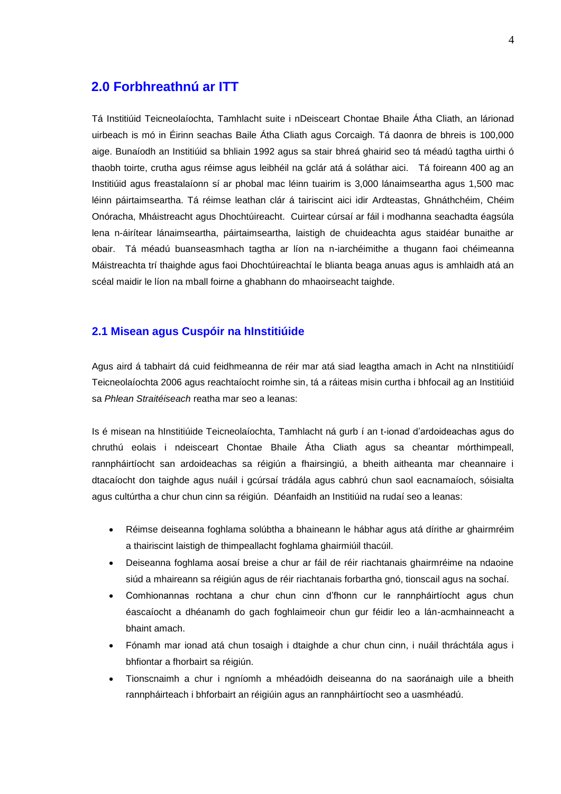# **2.0 Forbhreathnú ar ITT**

Tá Institiúid Teicneolaíochta, Tamhlacht suite i nDeisceart Chontae Bhaile Átha Cliath, an lárionad uirbeach is mó in Éirinn seachas Baile Átha Cliath agus Corcaigh. Tá daonra de bhreis is 100,000 aige. Bunaíodh an Institiúid sa bhliain 1992 agus sa stair bhreá ghairid seo tá méadú tagtha uirthi ó thaobh toirte, crutha agus réimse agus leibhéil na gclár atá á soláthar aici. Tá foireann 400 ag an Institiúid agus freastalaíonn sí ar phobal mac léinn tuairim is 3,000 lánaimseartha agus 1,500 mac léinn páirtaimseartha. Tá réimse leathan clár á tairiscint aici idir Ardteastas, Ghnáthchéim, Chéim Onóracha, Mháistreacht agus Dhochtúireacht. Cuirtear cúrsaí ar fáil i modhanna seachadta éagsúla lena n-áirítear lánaimseartha, páirtaimseartha, laistigh de chuideachta agus staidéar bunaithe ar obair. Tá méadú buanseasmhach tagtha ar líon na n-iarchéimithe a thugann faoi chéimeanna Máistreachta trí thaighde agus faoi Dhochtúireachtaí le blianta beaga anuas agus is amhlaidh atá an scéal maidir le líon na mball foirne a ghabhann do mhaoirseacht taighde.

### **2.1 Misean agus Cuspóir na hInstitiúide**

Agus aird á tabhairt dá cuid feidhmeanna de réir mar atá siad leagtha amach in Acht na nInstitiúidí Teicneolaíochta 2006 agus reachtaíocht roimhe sin, tá a ráiteas misin curtha i bhfocail ag an Institiúid sa *Phlean Straitéiseach* reatha mar seo a leanas:

Is é misean na hInstitiúide Teicneolaíochta, Tamhlacht ná gurb í an t-ionad d'ardoideachas agus do chruthú eolais i ndeisceart Chontae Bhaile Átha Cliath agus sa cheantar mórthimpeall, rannpháirtíocht san ardoideachas sa réigiún a fhairsingiú, a bheith aitheanta mar cheannaire i dtacaíocht don taighde agus nuáil i gcúrsaí trádála agus cabhrú chun saol eacnamaíoch, sóisialta agus cultúrtha a chur chun cinn sa réigiún. Déanfaidh an Institiúid na rudaí seo a leanas:

- Réimse deiseanna foghlama solúbtha a bhaineann le hábhar agus atá dírithe ar ghairmréim a thairiscint laistigh de thimpeallacht foghlama ghairmiúil thacúil.
- Deiseanna foghlama aosaí breise a chur ar fáil de réir riachtanais ghairmréime na ndaoine siúd a mhaireann sa réigiún agus de réir riachtanais forbartha gnó, tionscail agus na sochaí.
- Comhionannas rochtana a chur chun cinn d'fhonn cur le rannpháirtíocht agus chun éascaíocht a dhéanamh do gach foghlaimeoir chun gur féidir leo a lán-acmhainneacht a bhaint amach.
- Fónamh mar ionad atá chun tosaigh i dtaighde a chur chun cinn, i nuáil thráchtála agus i bhfiontar a fhorbairt sa réigiún.
- Tionscnaimh a chur i ngníomh a mhéadóidh deiseanna do na saoránaigh uile a bheith rannpháirteach i bhforbairt an réigiúin agus an rannpháirtíocht seo a uasmhéadú.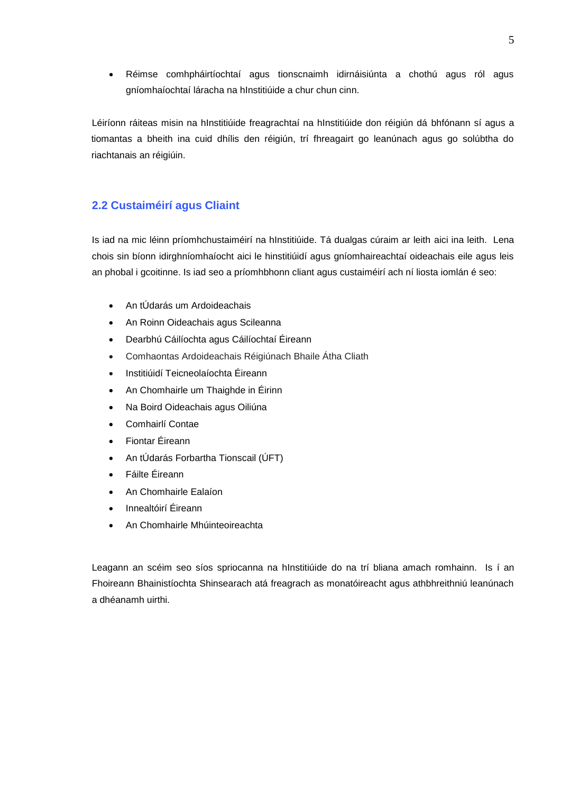Réimse comhpháirtíochtaí agus tionscnaimh idirnáisiúnta a chothú agus ról agus gníomhaíochtaí láracha na hInstitiúide a chur chun cinn.

Léiríonn ráiteas misin na hInstitiúide freagrachtaí na hInstitiúide don réigiún dá bhfónann sí agus a tiomantas a bheith ina cuid dhílis den réigiún, trí fhreagairt go leanúnach agus go solúbtha do riachtanais an réigiúin.

# **2.2 Custaiméirí agus Cliaint**

Is iad na mic léinn príomhchustaiméirí na hInstitiúide. Tá dualgas cúraim ar leith aici ina leith. Lena chois sin bíonn idirghníomhaíocht aici le hinstitiúidí agus gníomhaireachtaí oideachais eile agus leis an phobal i gcoitinne. Is iad seo a príomhbhonn cliant agus custaiméirí ach ní liosta iomlán é seo:

- An tÚdarás um Ardoideachais
- An Roinn Oideachais agus Scileanna
- Dearbhú Cáilíochta agus Cáilíochtaí Éireann
- Comhaontas Ardoideachais Réigiúnach Bhaile Átha Cliath
- Institiúidí Teicneolaíochta Éireann
- An Chomhairle um Thaighde in Éirinn
- Na Boird Oideachais agus Oiliúna
- Comhairlí Contae
- Fiontar Éireann
- An tÚdarás Forbartha Tionscail (ÚFT)
- Fáilte Éireann
- An Chomhairle Ealaíon
- Innealtóirí Éireann
- An Chomhairle Mhúinteoireachta

Leagann an scéim seo síos spriocanna na hInstitiúide do na trí bliana amach romhainn. Is í an Fhoireann Bhainistíochta Shinsearach atá freagrach as monatóireacht agus athbhreithniú leanúnach a dhéanamh uirthi.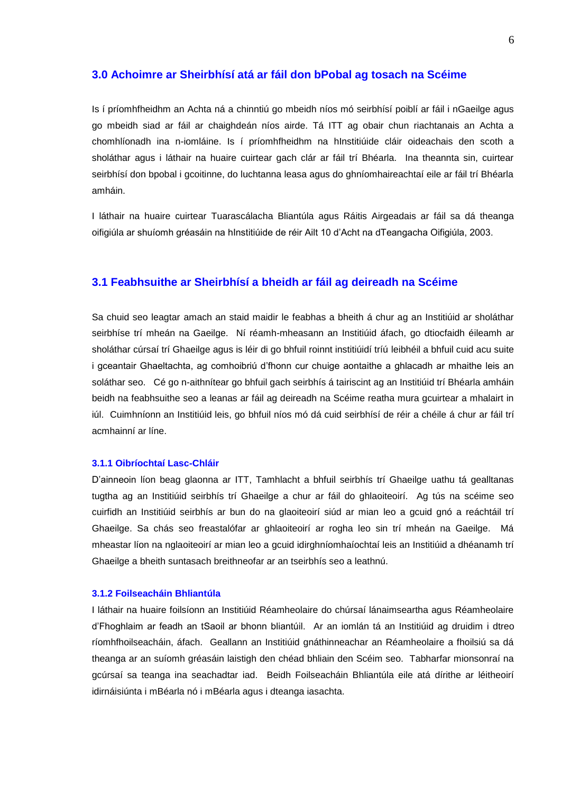#### **3.0 Achoimre ar Sheirbhísí atá ar fáil don bPobal ag tosach na Scéime**

Is í príomhfheidhm an Achta ná a chinntiú go mbeidh níos mó seirbhísí poiblí ar fáil i nGaeilge agus go mbeidh siad ar fáil ar chaighdeán níos airde. Tá ITT ag obair chun riachtanais an Achta a chomhlíonadh ina n-iomláine. Is í príomhfheidhm na hInstitiúide cláir oideachais den scoth a sholáthar agus i láthair na huaire cuirtear gach clár ar fáil trí Bhéarla. Ina theannta sin, cuirtear seirbhísí don bpobal i gcoitinne, do luchtanna leasa agus do ghníomhaireachtaí eile ar fáil trí Bhéarla amháin.

I láthair na huaire cuirtear Tuarascálacha Bliantúla agus Ráitis Airgeadais ar fáil sa dá theanga oifigiúla ar shuíomh gréasáin na hInstitiúide de réir Ailt 10 d'Acht na dTeangacha Oifigiúla, 2003.

#### **3.1 Feabhsuithe ar Sheirbhísí a bheidh ar fáil ag deireadh na Scéime**

Sa chuid seo leagtar amach an staid maidir le feabhas a bheith á chur ag an Institiúid ar sholáthar seirbhíse trí mheán na Gaeilge. Ní réamh-mheasann an Institiúid áfach, go dtiocfaidh éileamh ar sholáthar cúrsaí trí Ghaeilge agus is léir di go bhfuil roinnt institiúidí tríú leibhéil a bhfuil cuid acu suite i gceantair Ghaeltachta, ag comhoibriú d'fhonn cur chuige aontaithe a ghlacadh ar mhaithe leis an soláthar seo. Cé go n-aithnítear go bhfuil gach seirbhís á tairiscint ag an Institiúid trí Bhéarla amháin beidh na feabhsuithe seo a leanas ar fáil ag deireadh na Scéime reatha mura gcuirtear a mhalairt in iúl. Cuimhníonn an Institiúid leis, go bhfuil níos mó dá cuid seirbhísí de réir a chéile á chur ar fáil trí acmhainní ar líne.

#### **3.1.1 Oibríochtaí Lasc-Chláir**

D'ainneoin líon beag glaonna ar ITT, Tamhlacht a bhfuil seirbhís trí Ghaeilge uathu tá gealltanas tugtha ag an Institiúid seirbhís trí Ghaeilge a chur ar fáil do ghlaoiteoirí. Ag tús na scéime seo cuirfidh an Institiúid seirbhís ar bun do na glaoiteoirí siúd ar mian leo a gcuid gnó a reáchtáil trí Ghaeilge. Sa chás seo freastalófar ar ghlaoiteoirí ar rogha leo sin trí mheán na Gaeilge. Má mheastar líon na nglaoiteoirí ar mian leo a gcuid idirghníomhaíochtaí leis an Institiúid a dhéanamh trí Ghaeilge a bheith suntasach breithneofar ar an tseirbhís seo a leathnú.

#### **3.1.2 Foilseacháin Bhliantúla**

I láthair na huaire foilsíonn an Institiúid Réamheolaire do chúrsaí lánaimseartha agus Réamheolaire d'Fhoghlaim ar feadh an tSaoil ar bhonn bliantúil. Ar an iomlán tá an Institiúid ag druidim i dtreo ríomhfhoilseacháin, áfach. Geallann an Institiúid gnáthinneachar an Réamheolaire a fhoilsiú sa dá theanga ar an suíomh gréasáin laistigh den chéad bhliain den Scéim seo. Tabharfar mionsonraí na gcúrsaí sa teanga ina seachadtar iad. Beidh Foilseacháin Bhliantúla eile atá dírithe ar léitheoirí idirnáisiúnta i mBéarla nó i mBéarla agus i dteanga iasachta.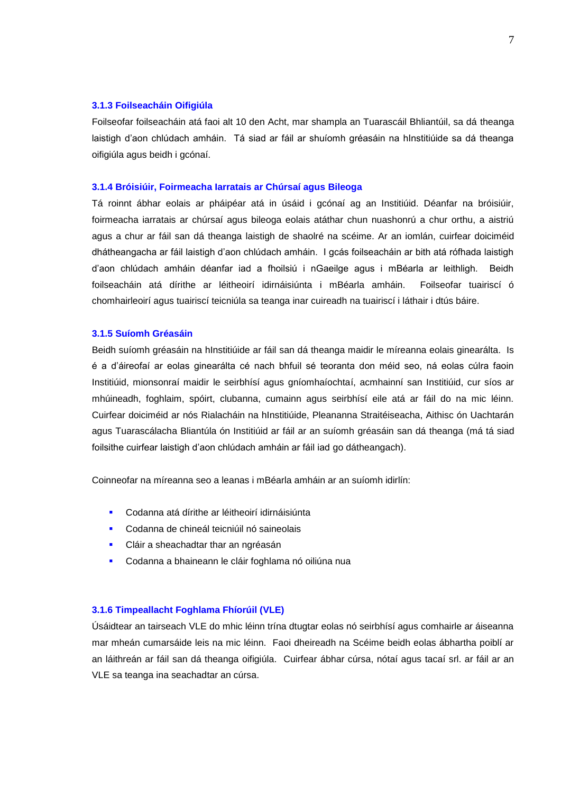#### **3.1.3 Foilseacháin Oifigiúla**

Foilseofar foilseacháin atá faoi alt 10 den Acht, mar shampla an Tuarascáil Bhliantúil, sa dá theanga laistigh d'aon chlúdach amháin. Tá siad ar fáil ar shuíomh gréasáin na hInstitiúide sa dá theanga oifigiúla agus beidh i gcónaí.

#### **3.1.4 Bróisiúir, Foirmeacha Iarratais ar Chúrsaí agus Bileoga**

Tá roinnt ábhar eolais ar pháipéar atá in úsáid i gcónaí ag an Institiúid. Déanfar na bróisiúir, foirmeacha iarratais ar chúrsaí agus bileoga eolais atáthar chun nuashonrú a chur orthu, a aistriú agus a chur ar fáil san dá theanga laistigh de shaolré na scéime. Ar an iomlán, cuirfear doiciméid dhátheangacha ar fáil laistigh d'aon chlúdach amháin. I gcás foilseacháin ar bith atá rófhada laistigh d'aon chlúdach amháin déanfar iad a fhoilsiú i nGaeilge agus i mBéarla ar leithligh. Beidh foilseacháin atá dírithe ar léitheoirí idirnáisiúnta i mBéarla amháin. Foilseofar tuairiscí ó chomhairleoirí agus tuairiscí teicniúla sa teanga inar cuireadh na tuairiscí i láthair i dtús báire.

#### **3.1.5 Suíomh Gréasáin**

Beidh suíomh gréasáin na hInstitiúide ar fáil san dá theanga maidir le míreanna eolais ginearálta. Is é a d'áireofaí ar eolas ginearálta cé nach bhfuil sé teoranta don méid seo, ná eolas cúlra faoin Institiúid, mionsonraí maidir le seirbhísí agus gníomhaíochtaí, acmhainní san Institiúid, cur síos ar mhúineadh, foghlaim, spóirt, clubanna, cumainn agus seirbhísí eile atá ar fáil do na mic léinn. Cuirfear doiciméid ar nós Rialacháin na hInstitiúide, Pleananna Straitéiseacha, Aithisc ón Uachtarán agus Tuarascálacha Bliantúla ón Institiúid ar fáil ar an suíomh gréasáin san dá theanga (má tá siad foilsithe cuirfear laistigh d'aon chlúdach amháin ar fáil iad go dátheangach).

Coinneofar na míreanna seo a leanas i mBéarla amháin ar an suíomh idirlín:

- Codanna atá dírithe ar léitheoirí idirnáisiúnta
- Codanna de chineál teicniúil nó saineolais
- Cláir a sheachadtar thar an ngréasán
- Codanna a bhaineann le cláir foghlama nó oiliúna nua

#### **3.1.6 Timpeallacht Foghlama Fhíorúil (VLE)**

Úsáidtear an tairseach VLE do mhic léinn trína dtugtar eolas nó seirbhísí agus comhairle ar áiseanna mar mheán cumarsáide leis na mic léinn. Faoi dheireadh na Scéime beidh eolas ábhartha poiblí ar an láithreán ar fáil san dá theanga oifigiúla. Cuirfear ábhar cúrsa, nótaí agus tacaí srl. ar fáil ar an VLE sa teanga ina seachadtar an cúrsa.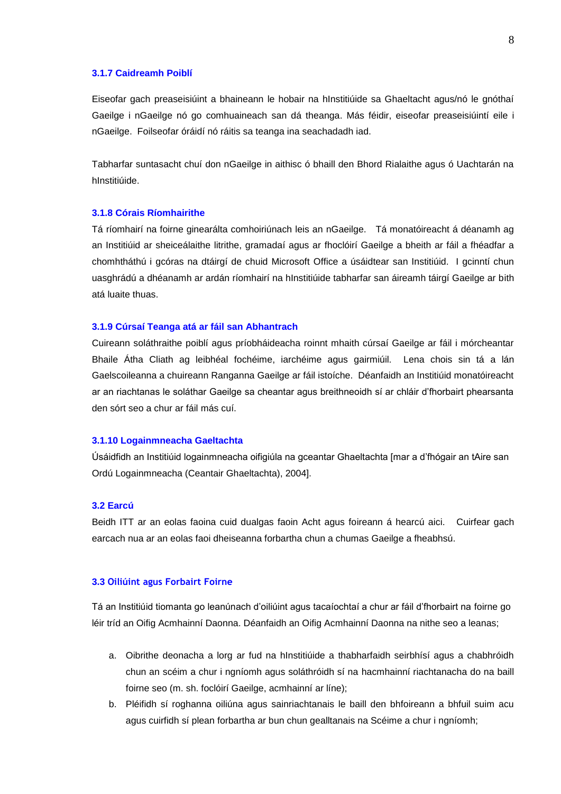#### **3.1.7 Caidreamh Poiblí**

Eiseofar gach preaseisiúint a bhaineann le hobair na hInstitiúide sa Ghaeltacht agus/nó le gnóthaí Gaeilge i nGaeilge nó go comhuaineach san dá theanga. Más féidir, eiseofar preaseisiúintí eile i nGaeilge. Foilseofar óráidí nó ráitis sa teanga ina seachadadh iad.

Tabharfar suntasacht chuí don nGaeilge in aithisc ó bhaill den Bhord Rialaithe agus ó Uachtarán na hInstitiúide.

#### **3.1.8 Córais Ríomhairithe**

Tá ríomhairí na foirne ginearálta comhoiriúnach leis an nGaeilge. Tá monatóireacht á déanamh ag an Institiúid ar sheiceálaithe litrithe, gramadaí agus ar fhoclóirí Gaeilge a bheith ar fáil a fhéadfar a chomhtháthú i gcóras na dtáirgí de chuid Microsoft Office a úsáidtear san Institiúid. I gcinntí chun uasghrádú a dhéanamh ar ardán ríomhairí na hInstitiúide tabharfar san áireamh táirgí Gaeilge ar bith atá luaite thuas.

#### **3.1.9 Cúrsaí Teanga atá ar fáil san Abhantrach**

Cuireann soláthraithe poiblí agus príobháideacha roinnt mhaith cúrsaí Gaeilge ar fáil i mórcheantar Bhaile Átha Cliath ag leibhéal fochéime, iarchéime agus gairmiúil. Lena chois sin tá a lán Gaelscoileanna a chuireann Ranganna Gaeilge ar fáil istoíche. Déanfaidh an Institiúid monatóireacht ar an riachtanas le soláthar Gaeilge sa cheantar agus breithneoidh sí ar chláir d'fhorbairt phearsanta den sórt seo a chur ar fáil más cuí.

#### **3.1.10 Logainmneacha Gaeltachta**

Úsáidfidh an Institiúid logainmneacha oifigiúla na gceantar Ghaeltachta [mar a d'fhógair an tAire san Ordú Logainmneacha (Ceantair Ghaeltachta), 2004].

#### **3.2 Earcú**

Beidh ITT ar an eolas faoina cuid dualgas faoin Acht agus foireann á hearcú aici. Cuirfear gach earcach nua ar an eolas faoi dheiseanna forbartha chun a chumas Gaeilge a fheabhsú.

#### **3.3 Oiliúint agus Forbairt Foirne**

Tá an Institiúid tiomanta go leanúnach d'oiliúint agus tacaíochtaí a chur ar fáil d'fhorbairt na foirne go léir tríd an Oifig Acmhainní Daonna. Déanfaidh an Oifig Acmhainní Daonna na nithe seo a leanas;

- a. Oibrithe deonacha a lorg ar fud na hInstitiúide a thabharfaidh seirbhísí agus a chabhróidh chun an scéim a chur i ngníomh agus soláthróidh sí na hacmhainní riachtanacha do na baill foirne seo (m. sh. foclóirí Gaeilge, acmhainní ar líne);
- b. Pléifidh sí roghanna oiliúna agus sainriachtanais le baill den bhfoireann a bhfuil suim acu agus cuirfidh sí plean forbartha ar bun chun gealltanais na Scéime a chur i ngníomh;